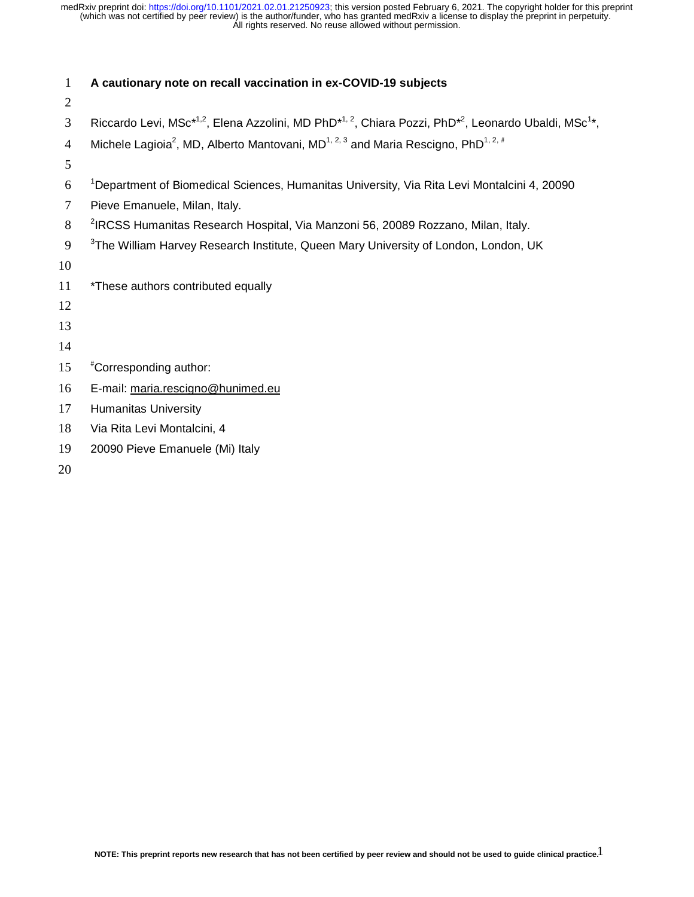| $\mathbf{1}$   | A cautionary note on recall vaccination in ex-COVID-19 subjects                                                                                      |
|----------------|------------------------------------------------------------------------------------------------------------------------------------------------------|
| $\overline{2}$ |                                                                                                                                                      |
| 3              | Riccardo Levi, MSc <sup>*1,2</sup> , Elena Azzolini, MD PhD <sup>*1,2</sup> , Chiara Pozzi, PhD <sup>*2</sup> , Leonardo Ubaldi, MSc <sup>1*</sup> , |
| $\overline{4}$ | Michele Lagioia <sup>2</sup> , MD, Alberto Mantovani, MD <sup>1, 2, 3</sup> and Maria Rescigno, PhD <sup>1, 2, #</sup>                               |
| 5              |                                                                                                                                                      |
| 6              | <sup>1</sup> Department of Biomedical Sciences, Humanitas University, Via Rita Levi Montalcini 4, 20090                                              |
| 7              | Pieve Emanuele, Milan, Italy.                                                                                                                        |
| 8              | <sup>2</sup> IRCSS Humanitas Research Hospital, Via Manzoni 56, 20089 Rozzano, Milan, Italy.                                                         |
| 9              | <sup>3</sup> The William Harvey Research Institute, Queen Mary University of London, London, UK                                                      |
| 10             |                                                                                                                                                      |
| 11             | *These authors contributed equally                                                                                                                   |
| 12             |                                                                                                                                                      |
| 13             |                                                                                                                                                      |
| 14             |                                                                                                                                                      |
| 15             | "Corresponding author:                                                                                                                               |
| 16             | E-mail: maria.rescigno@hunimed.eu                                                                                                                    |
| 17             | <b>Humanitas University</b>                                                                                                                          |
| 18             | Via Rita Levi Montalcini, 4                                                                                                                          |
| 19             | 20090 Pieve Emanuele (Mi) Italy                                                                                                                      |
| 20             |                                                                                                                                                      |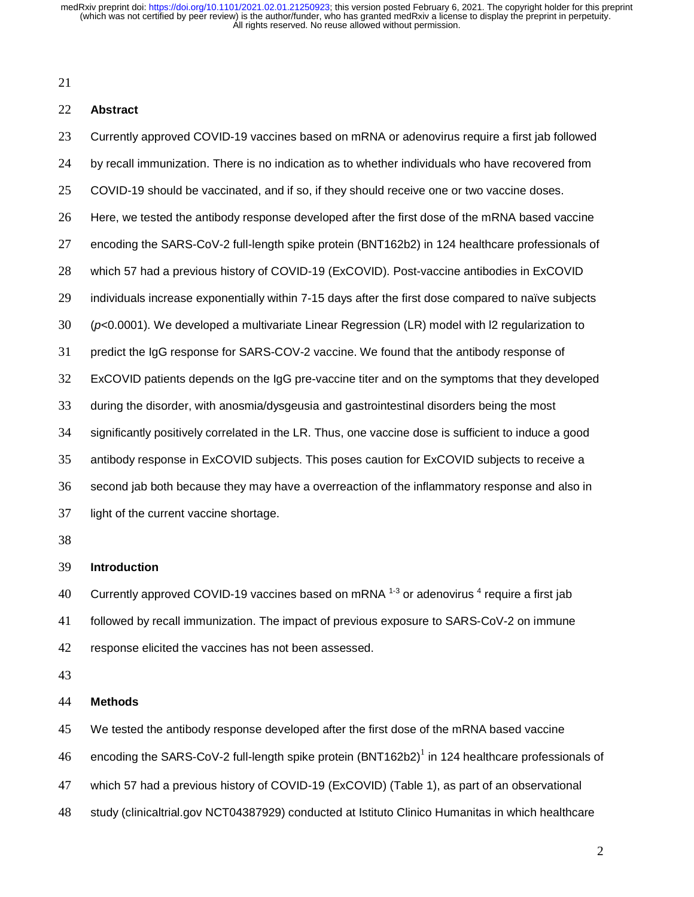## **Abstract**

Currently approved COVID-19 vaccines based on mRNA or adenovirus require a first jab followed by recall immunization. There is no indication as to whether individuals who have recovered from COVID-19 should be vaccinated, and if so, if they should receive one or two vaccine doses. Here, we tested the antibody response developed after the first dose of the mRNA based vaccine encoding the SARS-CoV-2 full-length spike protein (BNT162b2) in 124 healthcare professionals of which 57 had a previous history of COVID-19 (ExCOVID). Post-vaccine antibodies in ExCOVID individuals increase exponentially within 7-15 days after the first dose compared to naïve subjects (*p*<0.0001). We developed a multivariate Linear Regression (LR) model with l2 regularization to predict the IgG response for SARS-COV-2 vaccine. We found that the antibody response of ExCOVID patients depends on the IgG pre-vaccine titer and on the symptoms that they developed during the disorder, with anosmia/dysgeusia and gastrointestinal disorders being the most significantly positively correlated in the LR. Thus, one vaccine dose is sufficient to induce a good antibody response in ExCOVID subjects. This poses caution for ExCOVID subjects to receive a second jab both because they may have a overreaction of the inflammatory response and also in light of the current vaccine shortage. 

**Introduction** 

40 Currently approved COVID-19 vaccines based on mRNA  $^{1-3}$  or adenovirus  $^4$  require a first jab followed by recall immunization. The impact of previous exposure to SARS-CoV-2 on immune response elicited the vaccines has not been assessed.

## **Methods**

We tested the antibody response developed after the first dose of the mRNA based vaccine 46 encoding the SARS-CoV-2 full-length spike protein (BNT162b2)<sup>1</sup> in 124 healthcare professionals of which 57 had a previous history of COVID-19 (ExCOVID) (Table 1), as part of an observational study (clinicaltrial.gov NCT04387929) conducted at Istituto Clinico Humanitas in which healthcare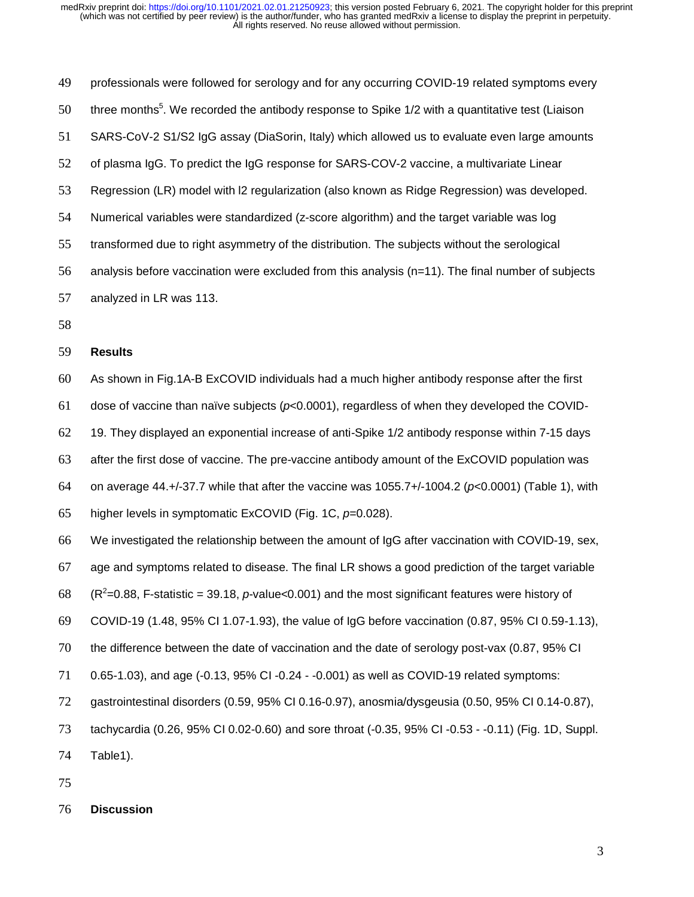professionals were followed for serology and for any occurring COVID-19 related symptoms every 50 three months<sup>5</sup>. We recorded the antibody response to Spike  $1/2$  with a quantitative test (Liaison SARS-CoV-2 S1/S2 IgG assay (DiaSorin, Italy) which allowed us to evaluate even large amounts of plasma IgG. To predict the IgG response for SARS-COV-2 vaccine, a multivariate Linear Regression (LR) model with l2 regularization (also known as Ridge Regression) was developed. Numerical variables were standardized (z-score algorithm) and the target variable was log transformed due to right asymmetry of the distribution. The subjects without the serological analysis before vaccination were excluded from this analysis (n=11). The final number of subjects analyzed in LR was 113.

## **Results**

As shown in Fig.1A-B ExCOVID individuals had a much higher antibody response after the first

dose of vaccine than naïve subjects (*p*<0.0001), regardless of when they developed the COVID-

19. They displayed an exponential increase of anti-Spike 1/2 antibody response within 7-15 days

after the first dose of vaccine. The pre-vaccine antibody amount of the ExCOVID population was

on average 44.+/-37.7 while that after the vaccine was 1055.7+/-1004.2 (*p*<0.0001) (Table 1), with

higher levels in symptomatic ExCOVID (Fig. 1C, *p*=0.028).

We investigated the relationship between the amount of IgG after vaccination with COVID-19, sex,

age and symptoms related to disease. The final LR shows a good prediction of the target variable

 $(68 \text{ (R}^2=0.88, \text{F-statistic} = 39.18, p-value<0.001)$  and the most significant features were history of

COVID-19 (1.48, 95% CI 1.07-1.93), the value of IgG before vaccination (0.87, 95% CI 0.59-1.13),

the difference between the date of vaccination and the date of serology post-vax (0.87, 95% CI

0.65-1.03), and age (-0.13, 95% CI -0.24 - -0.001) as well as COVID-19 related symptoms:

gastrointestinal disorders (0.59, 95% CI 0.16-0.97), anosmia/dysgeusia (0.50, 95% CI 0.14-0.87),

tachycardia (0.26, 95% CI 0.02-0.60) and sore throat (-0.35, 95% CI -0.53 - -0.11) (Fig. 1D, Suppl.

Table1).

**Discussion**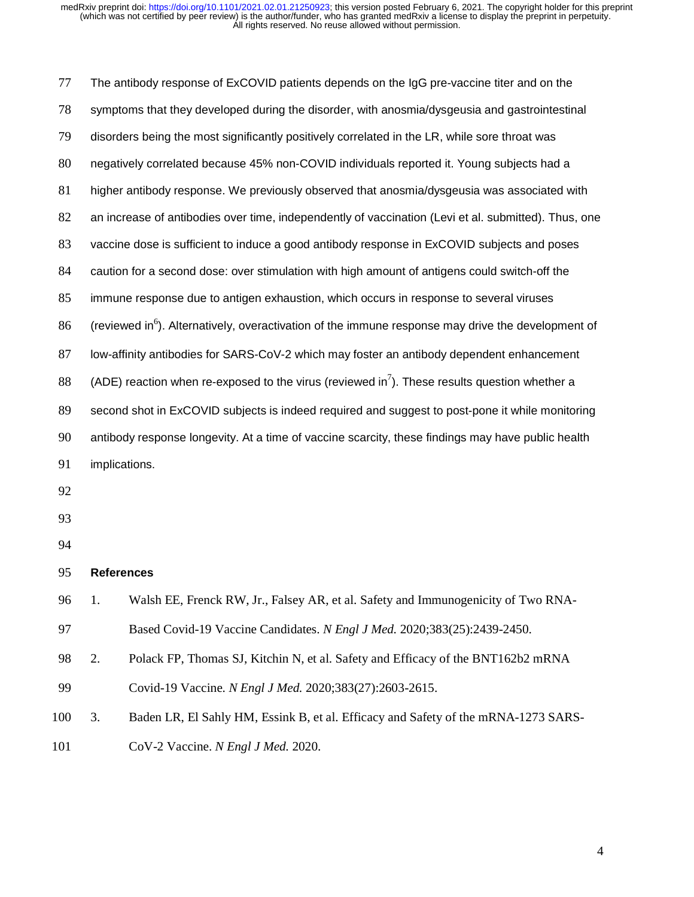| 77     |    | The antibody response of ExCOVID patients depends on the IgG pre-vaccine titer and on the                      |
|--------|----|----------------------------------------------------------------------------------------------------------------|
| 78     |    | symptoms that they developed during the disorder, with anosmia/dysgeusia and gastrointestinal                  |
| 79     |    | disorders being the most significantly positively correlated in the LR, while sore throat was                  |
| $80\,$ |    | negatively correlated because 45% non-COVID individuals reported it. Young subjects had a                      |
| 81     |    | higher antibody response. We previously observed that anosmia/dysgeusia was associated with                    |
| 82     |    | an increase of antibodies over time, independently of vaccination (Levi et al. submitted). Thus, one           |
| 83     |    | vaccine dose is sufficient to induce a good antibody response in ExCOVID subjects and poses                    |
| 84     |    | caution for a second dose: over stimulation with high amount of antigens could switch-off the                  |
| 85     |    | immune response due to antigen exhaustion, which occurs in response to several viruses                         |
| 86     |    | (reviewed in <sup>6</sup> ). Alternatively, overactivation of the immune response may drive the development of |
| 87     |    | low-affinity antibodies for SARS-CoV-2 which may foster an antibody dependent enhancement                      |
| 88     |    | (ADE) reaction when re-exposed to the virus (reviewed in <sup>7</sup> ). These results question whether a      |
| 89     |    | second shot in ExCOVID subjects is indeed required and suggest to post-pone it while monitoring                |
| 90     |    | antibody response longevity. At a time of vaccine scarcity, these findings may have public health              |
| 91     |    | implications.                                                                                                  |
| 92     |    |                                                                                                                |
| 93     |    |                                                                                                                |
| 94     |    |                                                                                                                |
| 95     |    | <b>References</b>                                                                                              |
| 96     | 1. | Walsh EE, Frenck RW, Jr., Falsey AR, et al. Safety and Immunogenicity of Two RNA-                              |
| 97     |    | Based Covid-19 Vaccine Candidates. N Engl J Med. 2020;383(25):2439-2450.                                       |
| 98     | 2. | Polack FP, Thomas SJ, Kitchin N, et al. Safety and Efficacy of the BNT162b2 mRNA                               |
| 99     |    | Covid-19 Vaccine. N Engl J Med. 2020;383(27):2603-2615.                                                        |
| 100    | 3. | Baden LR, El Sahly HM, Essink B, et al. Efficacy and Safety of the mRNA-1273 SARS-                             |
| 101    |    | CoV-2 Vaccine. N Engl J Med. 2020.                                                                             |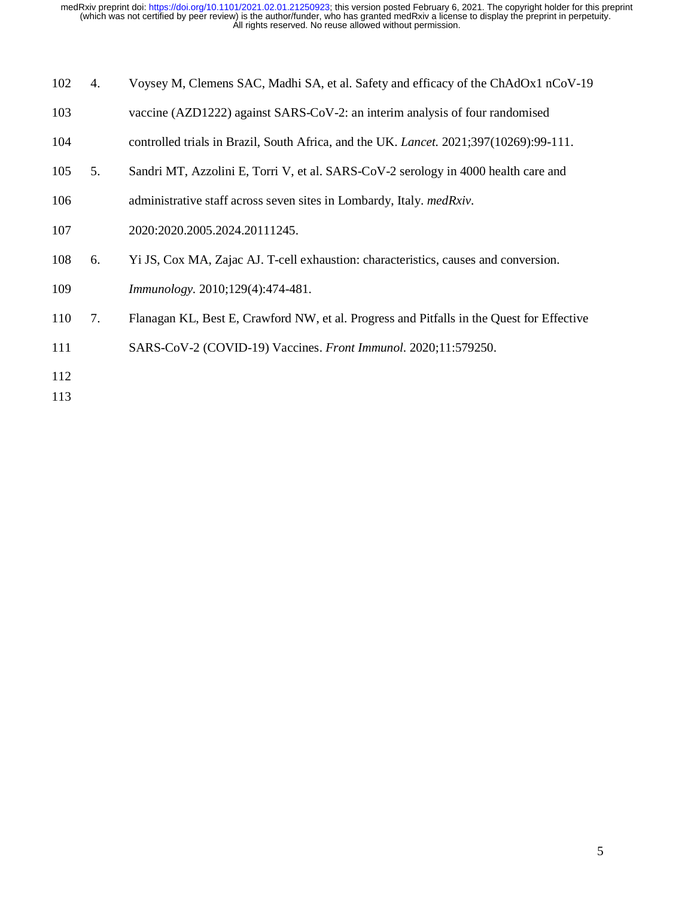| 102 | 4. | Voysey M, Clemens SAC, Madhi SA, et al. Safety and efficacy of the ChAdOx1 nCoV-19            |
|-----|----|-----------------------------------------------------------------------------------------------|
| 103 |    | vaccine (AZD1222) against SARS-CoV-2: an interim analysis of four randomised                  |
| 104 |    | controlled trials in Brazil, South Africa, and the UK. <i>Lancet.</i> 2021;397(10269):99-111. |
| 105 | 5. | Sandri MT, Azzolini E, Torri V, et al. SARS-CoV-2 serology in 4000 health care and            |
| 106 |    | administrative staff across seven sites in Lombardy, Italy. medRxiv.                          |
| 107 |    | 2020:2020.2005.2024.20111245.                                                                 |
| 108 | 6. | Yi JS, Cox MA, Zajac AJ. T-cell exhaustion: characteristics, causes and conversion.           |
| 109 |    | <i>Immunology.</i> 2010;129(4):474-481.                                                       |
| 110 | 7. | Flanagan KL, Best E, Crawford NW, et al. Progress and Pitfalls in the Quest for Effective     |
| 111 |    | SARS-CoV-2 (COVID-19) Vaccines. Front Immunol. 2020;11:579250.                                |
| 112 |    |                                                                                               |

113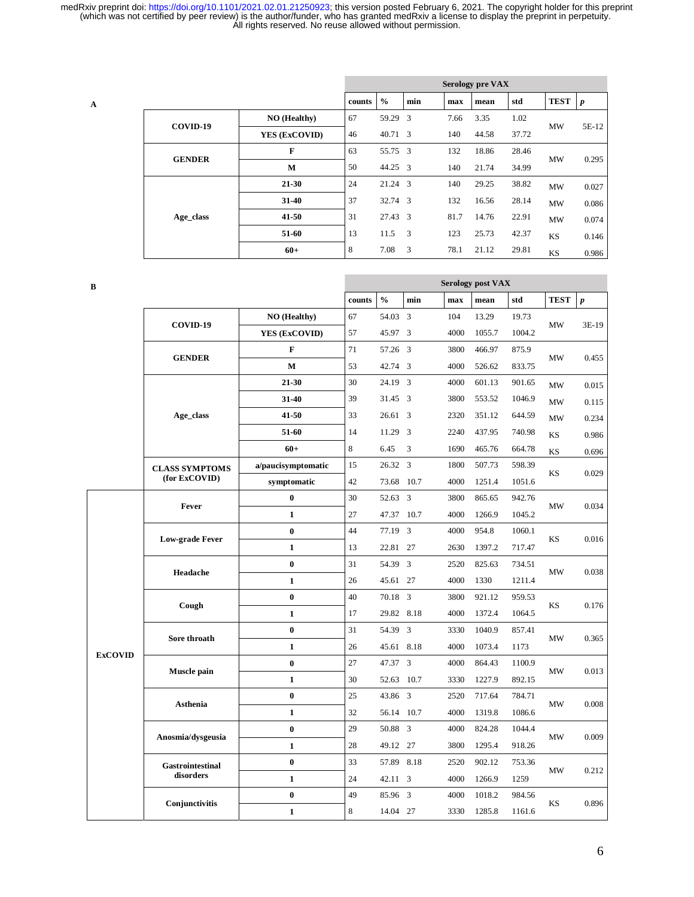|   |               |               | <b>Serology pre VAX</b> |               |                         |      |       |       |             |                  |  |  |
|---|---------------|---------------|-------------------------|---------------|-------------------------|------|-------|-------|-------------|------------------|--|--|
| A |               |               | counts                  | $\frac{0}{0}$ | min                     | max  | mean  | std   | <b>TEST</b> | $\boldsymbol{p}$ |  |  |
|   |               | NO (Healthy)  | 67                      | 59.29 3       |                         | 7.66 | 3.35  | 1.02  | <b>MW</b>   | 5E-12            |  |  |
|   | COVID-19      | YES (ExCOVID) | 46                      | 40.71 3       |                         | 140  | 44.58 | 37.72 |             |                  |  |  |
|   | <b>GENDER</b> | F             | 63                      | 55.75 3       |                         | 132  | 18.86 | 28.46 | <b>MW</b>   | 0.295            |  |  |
|   |               | M             | 50                      | 44.25 3       |                         | 140  | 21.74 | 34.99 |             |                  |  |  |
|   |               | $21 - 30$     | 24                      | 21.24 3       |                         | 140  | 29.25 | 38.82 | <b>MW</b>   | 0.027            |  |  |
|   |               | $31 - 40$     | 37                      | 32.74 3       |                         | 132  | 16.56 | 28.14 | <b>MW</b>   | 0.086            |  |  |
|   | Age_class     | $41 - 50$     | 31                      | 27.43 3       |                         | 81.7 | 14.76 | 22.91 | MW          | 0.074            |  |  |
|   |               | 51-60         | 13                      | 11.5          | $\overline{\mathbf{3}}$ | 123  | 25.73 | 42.37 | KS          | 0.146            |  |  |
|   |               | $60+$         | 8                       | 7.08          | $\overline{\mathbf{3}}$ | 78.1 | 21.12 | 29.81 | KS          | 0.986            |  |  |

| B              |                        |                     | <b>Serology post VAX</b> |               |                         |      |        |        |             |                  |  |
|----------------|------------------------|---------------------|--------------------------|---------------|-------------------------|------|--------|--------|-------------|------------------|--|
|                |                        |                     | counts                   | $\frac{0}{0}$ | min                     | max  | mean   | std    | <b>TEST</b> | $\boldsymbol{p}$ |  |
|                |                        | <b>NO</b> (Healthy) | 67                       | 54.03         | $\overline{\mathbf{3}}$ | 104  | 13.29  | 19.73  |             | 3E-19            |  |
|                | COVID-19               | YES (ExCOVID)       | 57                       | 45.97 3       |                         | 4000 | 1055.7 | 1004.2 | MW          |                  |  |
|                |                        | F                   | 71                       | 57.26 3       |                         | 3800 | 466.97 | 875.9  | MW          | 0.455            |  |
|                | <b>GENDER</b>          | $\mathbf M$         | 53                       | 42.74 3       |                         | 4000 | 526.62 | 833.75 |             |                  |  |
|                |                        | 21-30               | 30                       | 24.19 3       |                         | 4000 | 601.13 | 901.65 | MW          | 0.015            |  |
|                |                        | 31-40               | 39                       | 31.45 3       |                         | 3800 | 553.52 | 1046.9 | <b>MW</b>   | 0.115            |  |
|                | Age class              | 41-50               | 33                       | 26.61 3       |                         | 2320 | 351.12 | 644.59 | MW          | 0.234            |  |
|                |                        | 51-60               | 14                       | 11.29 3       |                         | 2240 | 437.95 | 740.98 | <b>KS</b>   | 0.986            |  |
|                |                        | $60+$               | 8                        | 6.45          | 3                       | 1690 | 465.76 | 664.78 | KS          | 0.696            |  |
|                | <b>CLASS SYMPTOMS</b>  | a/paucisymptomatic  | 15                       | 26.32 3       |                         | 1800 | 507.73 | 598.39 | KS          | 0.029            |  |
|                | (for ExCOVID)          | symptomatic         | 42                       | 73.68         | 10.7                    | 4000 | 1251.4 | 1051.6 |             |                  |  |
|                | Fever                  | $\bf{0}$            | 30                       | 52.63         | $\overline{3}$          | 3800 | 865.65 | 942.76 | MW          | 0.034            |  |
|                |                        | $\mathbf{1}$        | 27                       | 47.37         | 10.7                    | 4000 | 1266.9 | 1045.2 |             |                  |  |
|                | <b>Low-grade Fever</b> | $\bf{0}$            | 44                       | 77.19         | 3                       | 4000 | 954.8  | 1060.1 | KS          | 0.016            |  |
|                |                        | $\mathbf{1}$        | 13                       | 22.81 27      |                         | 2630 | 1397.2 | 717.47 |             |                  |  |
|                | Headache               | $\bf{0}$            | 31                       | 54.39 3       |                         | 2520 | 825.63 | 734.51 | <b>MW</b>   | 0.038            |  |
|                |                        | $\mathbf{1}$        | 26                       | 45.61 27      |                         | 4000 | 1330   | 1211.4 |             |                  |  |
|                | Cough                  | $\bf{0}$            | 40                       | 70.18         | $\overline{3}$          | 3800 | 921.12 | 959.53 | KS          | 0.176            |  |
|                |                        | $\mathbf{1}$        | 17                       | 29.82         | 8.18                    | 4000 | 1372.4 | 1064.5 |             |                  |  |
|                | Sore throath           | $\bf{0}$            | 31                       | 54.39 3       |                         | 3330 | 1040.9 | 857.41 | MW          | 0.365            |  |
| <b>ExCOVID</b> |                        | $\mathbf{1}$        | 26                       | 45.61         | 8.18                    | 4000 | 1073.4 | 1173   |             |                  |  |
|                | Muscle pain            | $\bf{0}$            | 27                       | 47.37         | $\overline{3}$          | 4000 | 864.43 | 1100.9 | <b>MW</b>   | 0.013            |  |
|                |                        | $\mathbf{1}$        | 30                       | 52.63         | 10.7                    | 3330 | 1227.9 | 892.15 |             |                  |  |
|                | <b>Asthenia</b>        | $\bf{0}$            | 25                       | 43.86 3       |                         | 2520 | 717.64 | 784.71 | MW          | 0.008            |  |
|                |                        | $\mathbf{1}$        | 32                       | 56.14         | 10.7                    | 4000 | 1319.8 | 1086.6 |             |                  |  |
|                | Anosmia/dysgeusia      | $\bf{0}$            | 29                       | 50.88 3       |                         | 4000 | 824.28 | 1044.4 |             | 0.009            |  |
|                |                        | $\mathbf{1}$        | 28                       | 49.12 27      |                         | 3800 | 1295.4 | 918.26 | MW          |                  |  |
|                | Gastrointestinal       | $\bf{0}$            | 33                       | 57.89         | 8.18                    | 2520 | 902.12 | 753.36 |             |                  |  |
|                | disorders              | $\mathbf{1}$        | 24                       | 42.11 3       |                         | 4000 | 1266.9 | 1259   | MW          | 0.212            |  |
|                |                        | $\bf{0}$            | 49                       | 85.96 3       |                         | 4000 | 1018.2 | 984.56 |             |                  |  |
|                | Conjunctivitis         | $\mathbf{1}$        | 8                        | 14.04 27      |                         | 3330 | 1285.8 | 1161.6 | KS          | 0.896            |  |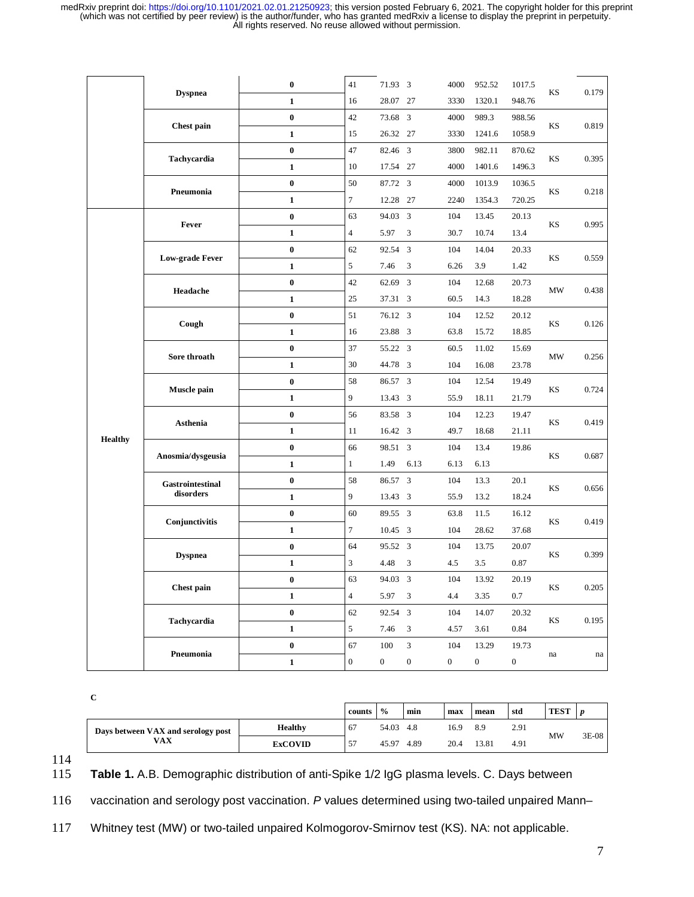|         |                               | $\bf{0}$         | 41               | 71.93 3        |                  | 4000           | 952.52         | 1017.5         |    |       |
|---------|-------------------------------|------------------|------------------|----------------|------------------|----------------|----------------|----------------|----|-------|
|         | <b>Dyspnea</b>                | $\mathbf{1}$     | 16               | 28.07 27       |                  | 3330           | 1320.1         | 948.76         | KS | 0.179 |
|         |                               | $\bf{0}$         | 42               | 73.68 3        |                  | 4000           | 989.3          | 988.56         |    |       |
|         | Chest pain                    | $\mathbf{1}$     | 15               | 26.32 27       |                  | 3330           | 1241.6         | 1058.9         | KS | 0.819 |
|         | Tachycardia                   | $\bf{0}$         | 47               | 82.46 3        |                  | 3800           | 982.11         | 870.62         |    |       |
|         |                               | $\mathbf{1}$     | 10               | 17.54          | 27               | 4000           | 1401.6         | 1496.3         | KS | 0.395 |
|         |                               | $\bf{0}$         | 50               | 87.72 3        |                  | 4000           | 1013.9         | 1036.5         |    |       |
|         | Pneumonia                     | $\mathbf{1}$     | $\tau$           | 12.28          | 27               | 2240           | 1354.3         | 720.25         | KS | 0.218 |
|         | Fever                         | $\bf{0}$         | 63               | 94.03          | 3                | 104            | 13.45          | 20.13          |    |       |
|         |                               | $\mathbf{1}$     | 4                | 5.97           | 3                | 30.7           | 10.74          | 13.4           | KS | 0.995 |
|         |                               | $\bf{0}$         | 62               | 92.54 3        |                  | 104            | 14.04          | 20.33          | KS |       |
|         | <b>Low-grade Fever</b>        | $\mathbf{1}$     | 5                | 7.46           | 3                | 6.26           | 3.9            | 1.42           |    | 0.559 |
|         |                               | $\bf{0}$         | 42               | 62.69 3        |                  | 104            | 12.68          | 20.73          |    |       |
|         | Headache                      | $\mathbf{1}$     | 25               | 37.31 3        |                  | 60.5           | 14.3           | 18.28          | MW | 0.438 |
|         | Cough                         | $\bf{0}$         | 51               | 76.12 3        |                  | 104            | 12.52          | 20.12          |    |       |
|         |                               | $\mathbf{1}$     | 16               | 23.88 3        |                  | 63.8           | 15.72          | 18.85          | KS | 0.126 |
|         | Sore throath                  | $\bf{0}$         | 37               | 55.22 3        |                  | 60.5           | 11.02          | 15.69          |    | 0.256 |
|         |                               | $\mathbf{1}$     | 30               | 44.78 3        |                  | 104            | 16.08          | 23.78          | MW |       |
|         | Muscle pain                   | $\bf{0}$         | 58               | 86.57 3        |                  | 104            | 12.54          | 19.49          | KS | 0.724 |
|         |                               | $\mathbf{1}$     | 9                | 13.43 3        |                  | 55.9           | 18.11          | 21.79          |    |       |
|         | Asthenia                      | $\boldsymbol{0}$ | 56               | 83.58 3        |                  | 104            | 12.23          | 19.47          | KS |       |
|         |                               | $\mathbf{1}$     | 11               | 16.42 3        |                  | 49.7           | 18.68          | 21.11          |    | 0.419 |
| Healthy | Anosmia/dysgeusia             | $\bf{0}$         | 66               | 98.51 3        |                  | 104            | 13.4           | 19.86          | KS | 0.687 |
|         |                               | $\mathbf{1}$     | $\mathbf{1}$     | 1.49           | 6.13             | 6.13           | 6.13           |                |    |       |
|         | Gastrointestinal<br>disorders | $\bf{0}$         | 58               | 86.57 3        |                  | 104            | 13.3           | 20.1           | KS | 0.656 |
|         |                               | $\mathbf{1}$     | 9                | 13.43 3        |                  | 55.9           | 13.2           | 18.24          |    |       |
|         | Conjunctivitis                | $\bf{0}$         | 60               | 89.55 3        |                  | 63.8           | 11.5           | 16.12          | KS | 0.419 |
|         |                               | $\mathbf{1}$     | 7                | 10.45 3        |                  | 104            | 28.62          | 37.68          |    |       |
|         |                               | $\bf{0}$         | 64               | 95.52 3        |                  | 104            | 13.75          | 20.07          |    | 0.399 |
|         | <b>Dyspnea</b>                | $\mathbf{1}$     | 3                | 4.48           | $\mathfrak{Z}$   | 4.5            | 3.5            | 0.87           | KS |       |
|         |                               | $\bf{0}$         | 63               | 94.03 3        |                  | 104            | 13.92          | 20.19          |    |       |
|         | Chest pain                    | $\mathbf{1}$     | $\overline{4}$   | 5.97 3         |                  | 4.4            | 3.35           | 0.7            | KS | 0.205 |
|         | Tachycardia                   | $\mathbf 0$      | 62               | 92.54 3        |                  | 104            | 14.07          | 20.32          | KS |       |
|         |                               | $\mathbf{1}$     | 5                | 7.46           | 3                | 4.57           | 3.61           | 0.84           |    | 0.195 |
|         |                               | $\pmb{0}$        | 67               | 100            | $\sqrt{3}$       | 104            | 13.29          | 19.73          |    |       |
|         | Pneumonia                     | $\mathbf 1$      | $\boldsymbol{0}$ | $\overline{0}$ | $\boldsymbol{0}$ | $\overline{0}$ | $\overline{0}$ | $\overline{0}$ | na | na    |

**C** 

|                                    |                | counts  | $\frac{0}{0}$ | min  | max  | mean  | std  | <b>TEST</b> |         |
|------------------------------------|----------------|---------|---------------|------|------|-------|------|-------------|---------|
| Days between VAX and serology post | Healthy        | 67      | 54.03         | 4.8  | 16.9 | 8.9   | 2.91 | MW          | $3E-08$ |
| <b>VAX</b>                         | <b>ExCOVID</b> | 57<br>◡ | 45.97         | 4.89 | 20.4 | 13.81 | 4.91 |             |         |

 $\frac{114}{115}$ 

Table 1. A.B. Demographic distribution of anti-Spike 1/2 IgG plasma levels. C. Days between

116 vaccination and serology post vaccination. *P* values determined using two-tailed unpaired Mann–

117 Whitney test (MW) or two-tailed unpaired Kolmogorov-Smirnov test (KS). NA: not applicable.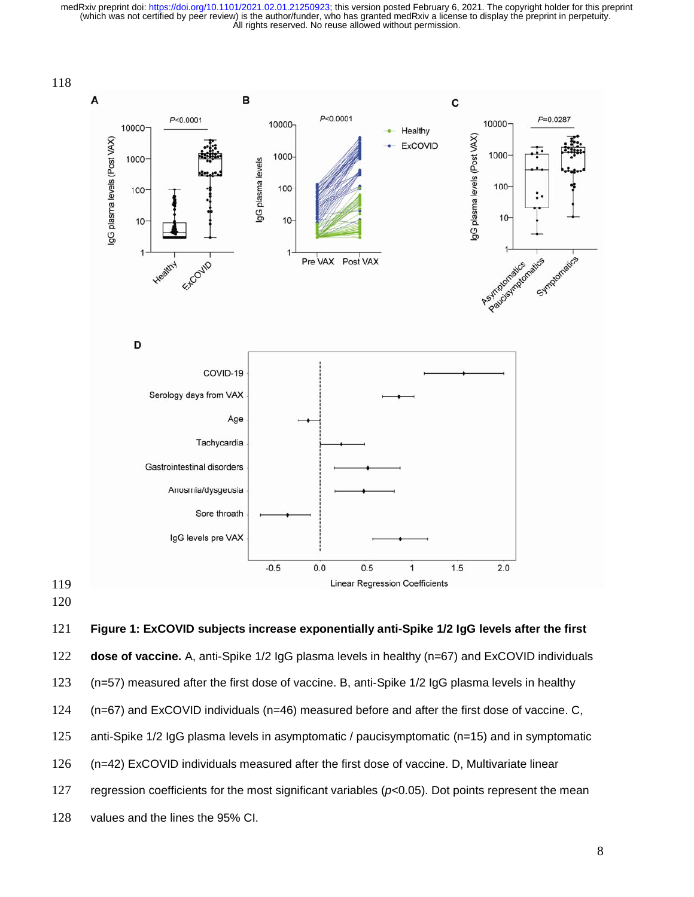

## **Figure 1: ExCOVID subjects increase exponentially anti-Spike 1/2 IgG levels after the first**

**dose of vaccine.** A, anti-Spike 1/2 IgG plasma levels in healthy (n=67) and ExCOVID individuals

(n=57) measured after the first dose of vaccine. B, anti-Spike 1/2 IgG plasma levels in healthy

(n=67) and ExCOVID individuals (n=46) measured before and after the first dose of vaccine. C,

- 125 anti-Spike 1/2 IgG plasma levels in asymptomatic / paucisymptomatic (n=15) and in symptomatic
- (n=42) ExCOVID individuals measured after the first dose of vaccine. D, Multivariate linear
- regression coefficients for the most significant variables (*p*<0.05). Dot points represent the mean
- values and the lines the 95% CI.